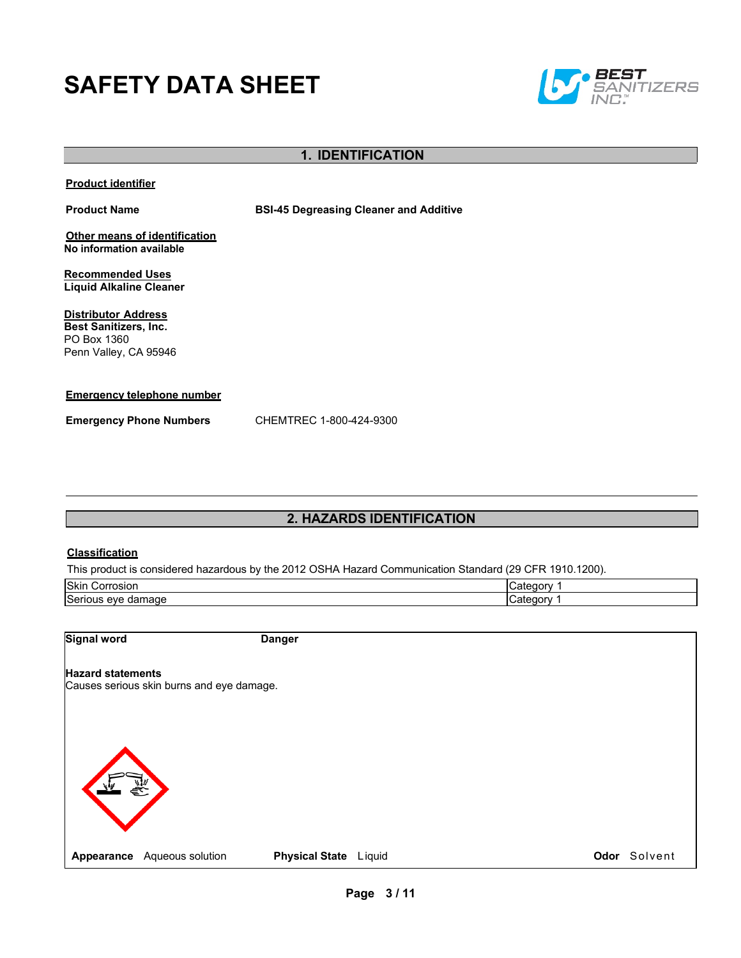# **SAFETY DATA SHEET**



### **1. IDENTIFICATION**

**Product identifier**

**Product Name BSI-45 Degreasing Cleaner and Additive**

**Other means of identification No information available**

**Recommended Uses Liquid Alkaline Cleaner**

**Distributor Address Best Sanitizers, Inc.**  PO Box 1360 Penn Valley, CA 95946

#### **Emergency telephone number**

**Emergency Phone Numbers** CHEMTREC 1-800-424-9300

# **2. HAZARDS IDENTIFICATION**

#### **Classification**

This product is considered hazardous by the 2012 OSHA Hazard Communication Standard (29 CFR 1910.1200).

| Skin                                      | $-1$ $-1$     |
|-------------------------------------------|---------------|
| Corrosion                                 | . JOP *       |
| Seriou<br>lamade<br>eve<br>dar<br>-<br>-- | $-1 - 1$<br>л |

**Signal word Danger**

#### **Hazard statements**

Causes serious skin burns and eye damage.

**Appearance** Aqueous solution **Physical State** Liquid **Constant Constant Constant Constant Constant Physical State Liquid <b>Constant Constant Constant Constant** Constant Physical State Liquid **Constant Constant Constant Con**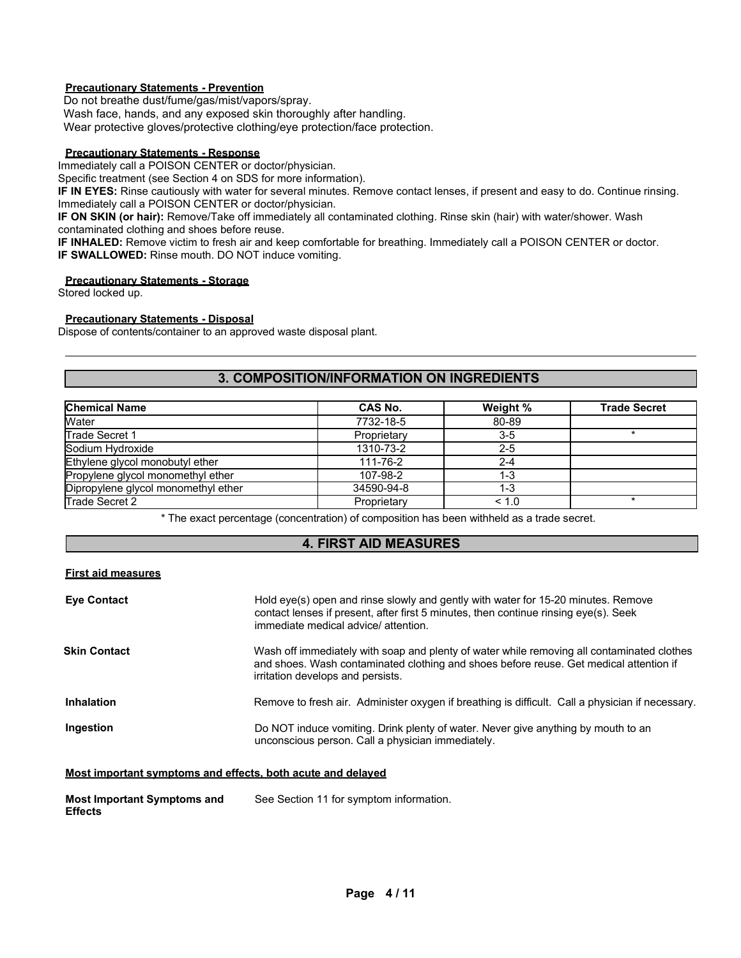#### **Precautionary Statements - Prevention**

Do not breathe dust/fume/gas/mist/vapors/spray.

Wash face, hands, and any exposed skin thoroughly after handling.

Wear protective gloves/protective clothing/eye protection/face protection.

#### **Precautionary Statements - Response**

Immediately call a POISON CENTER or doctor/physician.

Specific treatment (see Section 4 on SDS for more information).

**IF IN EYES:** Rinse cautiously with water for several minutes. Remove contact lenses, if present and easy to do. Continue rinsing. Immediately call a POISON CENTER or doctor/physician.

**IF ON SKIN (or hair):** Remove/Take off immediately all contaminated clothing. Rinse skin (hair) with water/shower. Wash contaminated clothing and shoes before reuse.

**IF INHALED:** Remove victim to fresh air and keep comfortable for breathing. Immediately call a POISON CENTER or doctor. **IF SWALLOWED:** Rinse mouth. DO NOT induce vomiting.

#### **Precautionary Statements - Storage**

Stored locked up.

#### **Precautionary Statements - Disposal**

Dispose of contents/container to an approved waste disposal plant.

#### **3. COMPOSITION/INFORMATION ON INGREDIENTS**

| <b>Chemical Name</b>                | CAS No.     | Weight % | <b>Trade Secret</b> |
|-------------------------------------|-------------|----------|---------------------|
| Water                               | 7732-18-5   | 80-89    |                     |
| Trade Secret 1                      | Proprietary | $3-5$    |                     |
| Sodium Hydroxide                    | 1310-73-2   | $2 - 5$  |                     |
| Ethylene glycol monobutyl ether     | 111-76-2    | $2 - 4$  |                     |
| Propylene glycol monomethyl ether   | 107-98-2    | 1-3      |                     |
| Dipropylene glycol monomethyl ether | 34590-94-8  | 1-3      |                     |
| Trade Secret 2                      | Proprietary | < 1.0    |                     |

\* The exact percentage (concentration) of composition has been withheld as a trade secret.

# **4. FIRST AID MEASURES**

### **First aid measures**

| <b>Eye Contact</b>  | Hold eye(s) open and rinse slowly and gently with water for 15-20 minutes. Remove<br>contact lenses if present, after first 5 minutes, then continue rinsing eye(s). Seek<br>immediate medical advice/attention.          |
|---------------------|---------------------------------------------------------------------------------------------------------------------------------------------------------------------------------------------------------------------------|
| <b>Skin Contact</b> | Wash off immediately with soap and plenty of water while removing all contaminated clothes<br>and shoes. Wash contaminated clothing and shoes before reuse. Get medical attention if<br>irritation develops and persists. |
| <b>Inhalation</b>   | Remove to fresh air. Administer oxygen if breathing is difficult. Call a physician if necessary.                                                                                                                          |
| Ingestion           | Do NOT induce vomiting. Drink plenty of water. Never give anything by mouth to an<br>unconscious person. Call a physician immediately.                                                                                    |

#### **Most important symptoms and effects, both acute and delayed**

| <b>Most Important Symptoms and</b> | See Section 11 for symptom information. |
|------------------------------------|-----------------------------------------|
| <b>Effects</b>                     |                                         |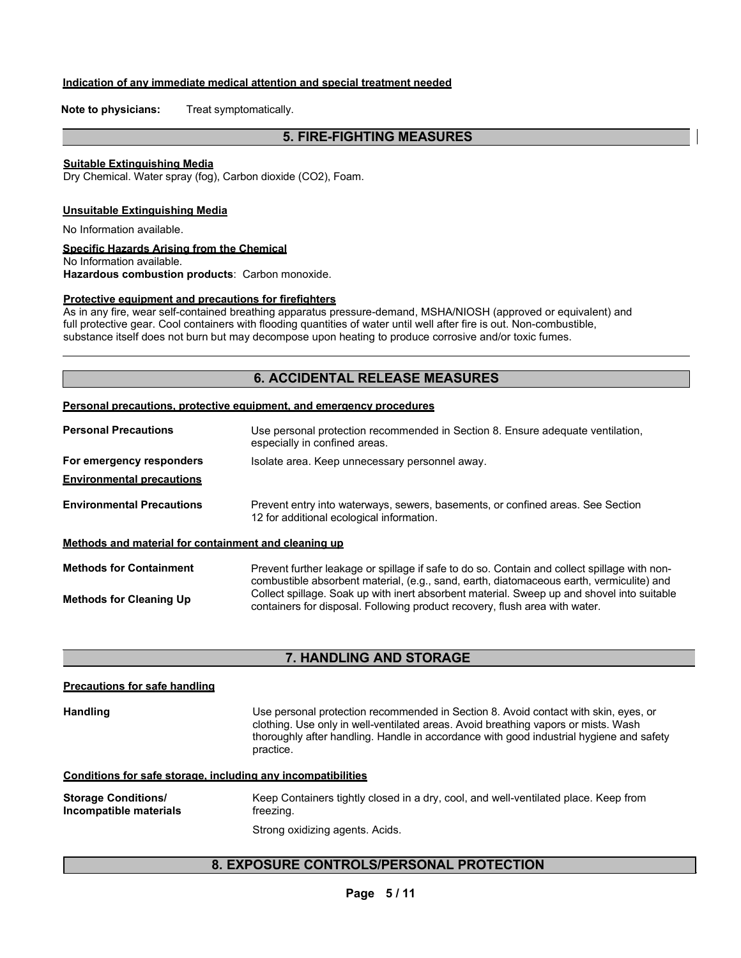#### **Indication of any immediate medical attention and special treatment needed**

**Note to physicians:** Treat symptomatically.

# **5. FIRE-FIGHTING MEASURES**

#### **Suitable Extinguishing Media**

Dry Chemical. Water spray (fog), Carbon dioxide (CO2), Foam.

#### **Unsuitable Extinguishing Media**

No Information available.

#### **Specific Hazards Arising from the Chemical**

No Information available. **Hazardous combustion products**: Carbon monoxide.

#### **Protective equipment and precautions for firefighters**

As in any fire, wear self-contained breathing apparatus pressure-demand, MSHA/NIOSH (approved or equivalent) and full protective gear. Cool containers with flooding quantities of water until well after fire is out. Non-combustible, substance itself does not burn but may decompose upon heating to produce corrosive and/or toxic fumes.

## **6. ACCIDENTAL RELEASE MEASURES**

#### **Personal precautions, protective equipment, and emergency procedures**

 $\overline{a}$ 

| <b>Personal Precautions</b>                          | Use personal protection recommended in Section 8. Ensure adequate ventilation,<br>especially in confined areas.                                                                          |  |  |
|------------------------------------------------------|------------------------------------------------------------------------------------------------------------------------------------------------------------------------------------------|--|--|
| For emergency responders                             | Isolate area. Keep unnecessary personnel away.                                                                                                                                           |  |  |
| <b>Environmental precautions</b>                     |                                                                                                                                                                                          |  |  |
| <b>Environmental Precautions</b>                     | Prevent entry into waterways, sewers, basements, or confined areas. See Section<br>12 for additional ecological information.                                                             |  |  |
| Methods and material for containment and cleaning up |                                                                                                                                                                                          |  |  |
| <b>Methods for Containment</b>                       | Prevent further leakage or spillage if safe to do so. Contain and collect spillage with non-<br>combustible absorbent material, (e.g., sand, earth, diatomaceous earth, vermiculite) and |  |  |
| <b>Methods for Cleaning Up</b>                       | Collect spillage. Soak up with inert absorbent material. Sweep up and shovel into suitable<br>containers for disposal. Following product recovery, flush area with water.                |  |  |

#### **7. HANDLING AND STORAGE**

| <b>Precautions for safe handling</b>                 |                                                                                                                                                                                                                                                                                   |
|------------------------------------------------------|-----------------------------------------------------------------------------------------------------------------------------------------------------------------------------------------------------------------------------------------------------------------------------------|
| <b>Handling</b>                                      | Use personal protection recommended in Section 8. Avoid contact with skin, eyes, or<br>clothing. Use only in well-ventilated areas. Avoid breathing vapors or mists. Wash<br>thoroughly after handling. Handle in accordance with good industrial hygiene and safety<br>practice. |
|                                                      | Conditions for safe storage, including any incompatibilities                                                                                                                                                                                                                      |
| <b>Storage Conditions/</b><br>Incompatible materials | Keep Containers tightly closed in a dry, cool, and well-ventilated place. Keep from<br>freezing.                                                                                                                                                                                  |
|                                                      | Strong oxidizing agents. Acids.                                                                                                                                                                                                                                                   |

# **8. EXPOSURE CONTROLS/PERSONAL PROTECTION**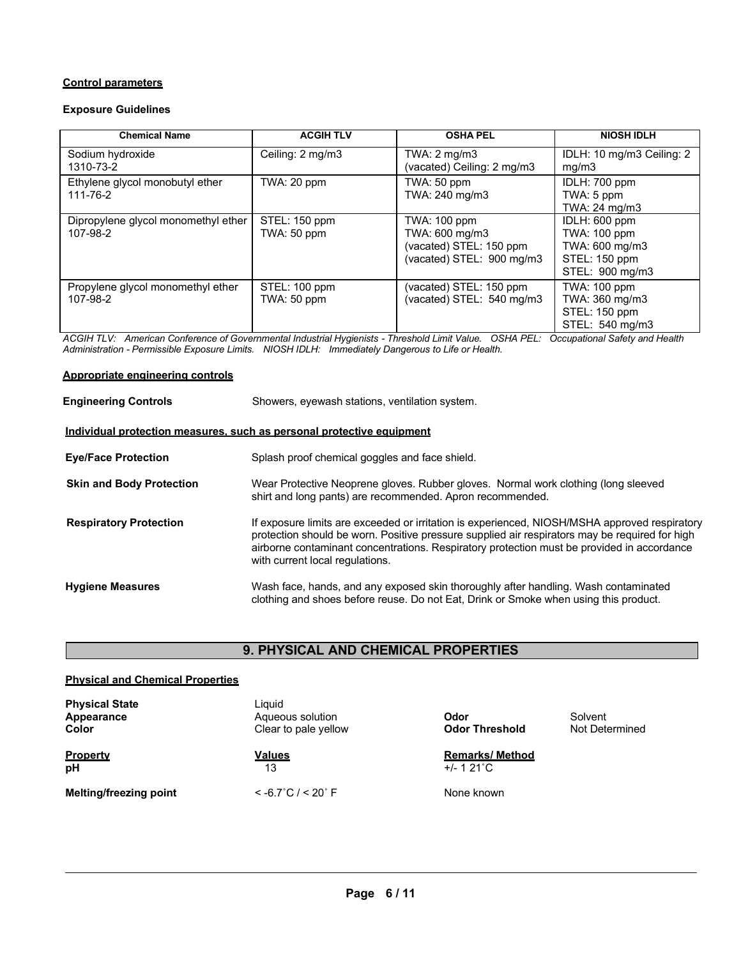#### **Control parameters**

#### **Exposure Guidelines**

| <b>Chemical Name</b>                | <b>ACGIH TLV</b> | <b>OSHA PEL</b>            | <b>NIOSH IDLH</b>         |
|-------------------------------------|------------------|----------------------------|---------------------------|
| Sodium hydroxide                    | Ceiling: 2 mg/m3 | TWA: $2 \text{ mg/m3}$     | IDLH: 10 mg/m3 Ceiling: 2 |
| 1310-73-2                           |                  | (vacated) Ceiling: 2 mg/m3 | mg/m3                     |
| Ethylene glycol monobutyl ether     | TWA: 20 ppm      | TWA: 50 ppm                | IDLH: 700 ppm             |
| 111-76-2                            |                  | TWA: 240 mg/m3             | TWA: 5 ppm                |
|                                     |                  |                            | TWA: 24 mg/m3             |
| Dipropylene glycol monomethyl ether | STEL: 150 ppm    | TWA: 100 ppm               | IDLH: 600 ppm             |
| 107-98-2                            | TWA: 50 ppm      | TWA: 600 mg/m3             | <b>TWA: 100 ppm</b>       |
|                                     |                  | (vacated) STEL: 150 ppm    | TWA: 600 mg/m3            |
|                                     |                  | (vacated) STEL: 900 mg/m3  | STEL: 150 ppm             |
|                                     |                  |                            | STEL: 900 mg/m3           |
| Propylene glycol monomethyl ether   | STEL: 100 ppm    | (vacated) STEL: 150 ppm    | <b>TWA: 100 ppm</b>       |
| 107-98-2                            | TWA: 50 ppm      | (vacated) STEL: 540 mg/m3  | TWA: 360 mg/m3            |
|                                     |                  |                            | STEL: 150 ppm             |
|                                     |                  |                            | STEL: 540 mg/m3           |

*ACGIH TLV: American Conference of Governmental Industrial Hygienists - Threshold Limit Value. OSHA PEL: Occupational Safety and Health Administration - Permissible Exposure Limits. NIOSH IDLH: Immediately Dangerous to Life or Health.*

#### **Appropriate engineering controls**

| <b>Engineering Controls</b>                                           | Showers, eyewash stations, ventilation system.                                                                                                                                                                                                                                                                                   |  |  |
|-----------------------------------------------------------------------|----------------------------------------------------------------------------------------------------------------------------------------------------------------------------------------------------------------------------------------------------------------------------------------------------------------------------------|--|--|
| Individual protection measures, such as personal protective equipment |                                                                                                                                                                                                                                                                                                                                  |  |  |
| <b>Eye/Face Protection</b>                                            | Splash proof chemical goggles and face shield.                                                                                                                                                                                                                                                                                   |  |  |
| <b>Skin and Body Protection</b>                                       | Wear Protective Neoprene gloves. Rubber gloves. Normal work clothing (long sleeved<br>shirt and long pants) are recommended. Apron recommended.                                                                                                                                                                                  |  |  |
| <b>Respiratory Protection</b>                                         | If exposure limits are exceeded or irritation is experienced, NIOSH/MSHA approved respiratory<br>protection should be worn. Positive pressure supplied air respirators may be required for high<br>airborne contaminant concentrations. Respiratory protection must be provided in accordance<br>with current local regulations. |  |  |
| <b>Hygiene Measures</b>                                               | Wash face, hands, and any exposed skin thoroughly after handling. Wash contaminated<br>clothing and shoes before reuse. Do not Eat, Drink or Smoke when using this product.                                                                                                                                                      |  |  |

# **9. PHYSICAL AND CHEMICAL PROPERTIES**

# **Physical and Chemical Properties**

| <b>Physical State</b><br>Appearance<br>Color | Liquid<br>Aqueous solution<br>Clear to pale yellow | Odor<br><b>Odor Threshold</b>                | Solvent<br>Not Determined |
|----------------------------------------------|----------------------------------------------------|----------------------------------------------|---------------------------|
| <b>Property</b><br>pH                        | <b>Values</b><br>13                                | <b>Remarks/Method</b><br>$+/- 121^{\circ}$ C |                           |
| <b>Melting/freezing point</b>                | $<$ -6.7°C / $<$ 20° F                             | None known                                   |                           |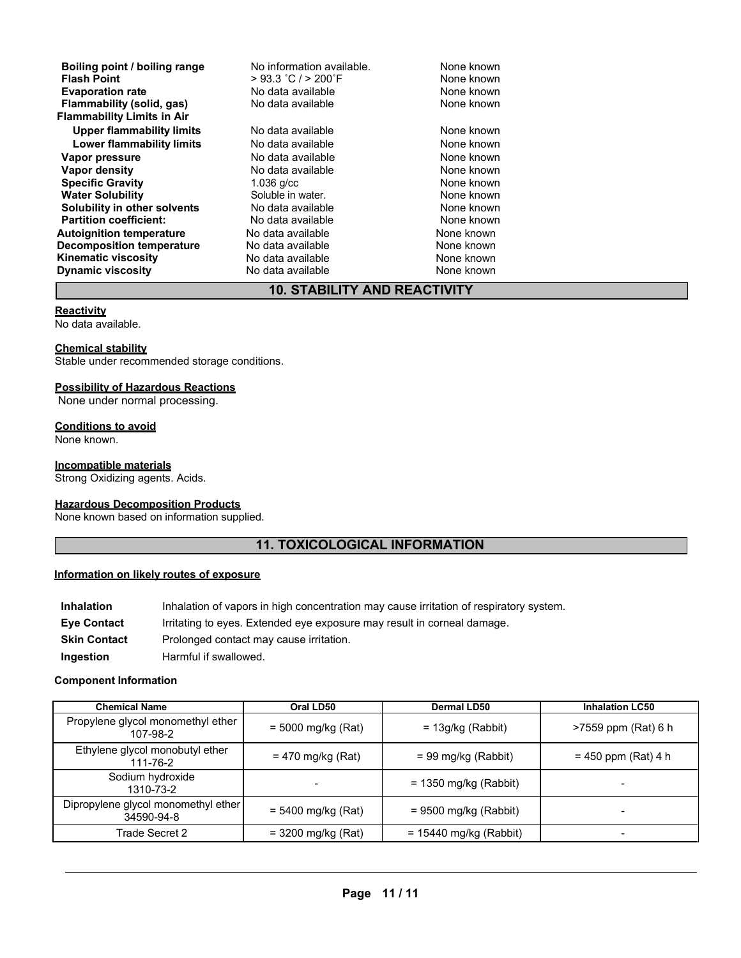| Boiling point / boiling range     | No information available. | None known |
|-----------------------------------|---------------------------|------------|
| <b>Flash Point</b>                | $>$ 93.3 °C / $>$ 200°F   | None known |
| <b>Evaporation rate</b>           | No data available         | None known |
| Flammability (solid, gas)         | No data available         | None known |
| <b>Flammability Limits in Air</b> |                           |            |
| <b>Upper flammability limits</b>  | No data available         | None known |
| Lower flammability limits         | No data available         | None known |
| Vapor pressure                    | No data available         | None known |
| Vapor density                     | No data available         | None known |
| <b>Specific Gravity</b>           | $1.036$ g/cc              | None known |
| <b>Water Solubility</b>           | Soluble in water.         | None known |
| Solubility in other solvents      | No data available         | None known |
| <b>Partition coefficient:</b>     | No data available         | None known |
| <b>Autoignition temperature</b>   | No data available         | None known |
| <b>Decomposition temperature</b>  | No data available         | None known |
| <b>Kinematic viscosity</b>        | No data available         | None known |
| <b>Dynamic viscosity</b>          | No data available         | None known |
|                                   |                           |            |

# **10. STABILITY AND REACTIVITY**

#### **Reactivity**

No data available.

#### **Chemical stability**

Stable under recommended storage conditions.

#### **Possibility of Hazardous Reactions**

None under normal processing.

#### **Conditions to avoid**

None known.

#### **Incompatible materials**

Strong Oxidizing agents. Acids.

# **Hazardous Decomposition Products**

None known based on information supplied.

# **11. TOXICOLOGICAL INFORMATION**

#### **Information on likely routes of exposure**

| <b>Inhalation</b>   | Inhalation of vapors in high concentration may cause irritation of respiratory system. |
|---------------------|----------------------------------------------------------------------------------------|
| <b>Eye Contact</b>  | Irritating to eyes. Extended eye exposure may result in corneal damage.                |
| <b>Skin Contact</b> | Prolonged contact may cause irritation.                                                |
| Ingestion           | Harmful if swallowed.                                                                  |

#### **Component Information**

| <b>Chemical Name</b>                              | Oral LD50                | <b>Dermal LD50</b>       | <b>Inhalation LC50</b> |
|---------------------------------------------------|--------------------------|--------------------------|------------------------|
| Propylene glycol monomethyl ether<br>107-98-2     | $= 5000$ mg/kg (Rat)     | $= 13g/kg$ (Rabbit)      | >7559 ppm (Rat) 6 h    |
| Ethylene glycol monobutyl ether<br>111-76-2       | $= 470$ mg/kg (Rat)      | $= 99$ mg/kg (Rabbit)    | $= 450$ ppm (Rat) 4 h  |
| Sodium hydroxide<br>1310-73-2                     | $\overline{\phantom{a}}$ | $= 1350$ mg/kg (Rabbit)  |                        |
| Dipropylene glycol monomethyl ether<br>34590-94-8 | $= 5400$ mg/kg (Rat)     | $= 9500$ mg/kg (Rabbit)  |                        |
| Trade Secret 2                                    | $= 3200$ mg/kg (Rat)     | $= 15440$ mg/kg (Rabbit) |                        |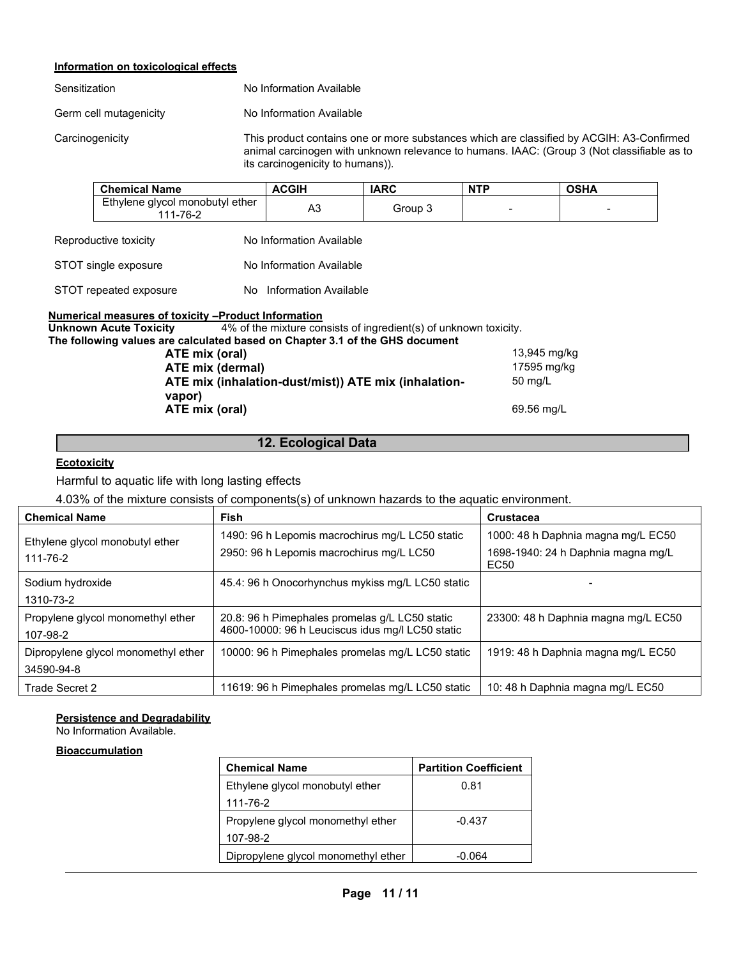# **Information on toxicological effects**

| Sensitization          | No Information Available                                   |  |  |
|------------------------|------------------------------------------------------------|--|--|
| Germ cell mutagenicity | No Information Available                                   |  |  |
| Carcinogenicity        | This product contains one of<br>animal carcinogen with unk |  |  |

or more substances which are classified by ACGIH: A3-Confirmed known relevance to humans. IAAC: (Group 3 (Not classifiable as to its carcinogenicity to humans)).

|                                                                                                                                                                            | <b>Chemical Name</b>                                | <b>ACGIH</b>             | <b>IARC</b> | <b>NTP</b>  | <b>OSHA</b> |
|----------------------------------------------------------------------------------------------------------------------------------------------------------------------------|-----------------------------------------------------|--------------------------|-------------|-------------|-------------|
|                                                                                                                                                                            | Ethylene glycol monobutyl ether<br>111-76-2         | A <sub>3</sub>           | Group 3     |             |             |
|                                                                                                                                                                            | Reproductive toxicity                               | No Information Available |             |             |             |
|                                                                                                                                                                            | STOT single exposure                                | No Information Available |             |             |             |
|                                                                                                                                                                            | STOT repeated exposure                              | No Information Available |             |             |             |
|                                                                                                                                                                            | Numerical measures of toxicity –Product Information |                          |             |             |             |
| 4% of the mixture consists of ingredient(s) of unknown toxicity.<br>Unknown Acute Toxicity<br>The following values are calculated based on Chapter 3.1 of the GHS document |                                                     |                          |             |             |             |
| 13,945 mg/kg<br>ATE mix (oral)                                                                                                                                             |                                                     |                          |             |             |             |
| ATE mix (dermal)                                                                                                                                                           |                                                     |                          |             | 17595 mg/kg |             |
| ATE mix (inhalation-dust/mist)) ATE mix (inhalation-                                                                                                                       |                                                     |                          | 50 mg/L     |             |             |
|                                                                                                                                                                            | vapor)                                              |                          |             |             |             |
| ATE mix (oral)                                                                                                                                                             |                                                     |                          |             | 69.56 mg/L  |             |
|                                                                                                                                                                            |                                                     |                          |             |             |             |

**12. Ecological Data**

## **Ecotoxicity**

Harmful to aquatic life with long lasting effects

4.03% of the mixture consists of components(s) of unknown hazards to the aquatic environment.

| <b>Chemical Name</b>                              | Fish                                                                                               | <b>Crustacea</b>                                                                 |
|---------------------------------------------------|----------------------------------------------------------------------------------------------------|----------------------------------------------------------------------------------|
| Ethylene glycol monobutyl ether<br>111-76-2       | 1490: 96 h Lepomis macrochirus mg/L LC50 static<br>2950: 96 h Lepomis macrochirus mg/L LC50        | 1000: 48 h Daphnia magna mg/L EC50<br>1698-1940: 24 h Daphnia magna mg/L<br>EC50 |
| Sodium hydroxide<br>1310-73-2                     | 45.4: 96 h Onocorhynchus mykiss mg/L LC50 static                                                   |                                                                                  |
| Propylene glycol monomethyl ether<br>107-98-2     | 20.8: 96 h Pimephales promelas g/L LC50 static<br>4600-10000: 96 h Leuciscus idus mg/l LC50 static | 23300: 48 h Daphnia magna mg/L EC50                                              |
| Dipropylene glycol monomethyl ether<br>34590-94-8 | 10000: 96 h Pimephales promelas mg/L LC50 static                                                   | 1919: 48 h Daphnia magna mg/L EC50                                               |
| Trade Secret 2                                    | 11619: 96 h Pimephales promelas mg/L LC50 static                                                   | 10: 48 h Daphnia magna mg/L EC50                                                 |

# **Persistence and Degradability**

No Information Available.

#### **Bioaccumulation**

| <b>Chemical Name</b>                | <b>Partition Coefficient</b> |
|-------------------------------------|------------------------------|
| Ethylene glycol monobutyl ether     | 0.81                         |
| 111-76-2                            |                              |
| Propylene glycol monomethyl ether   | $-0.437$                     |
| 107-98-2                            |                              |
| Dipropylene glycol monomethyl ether | -0 064                       |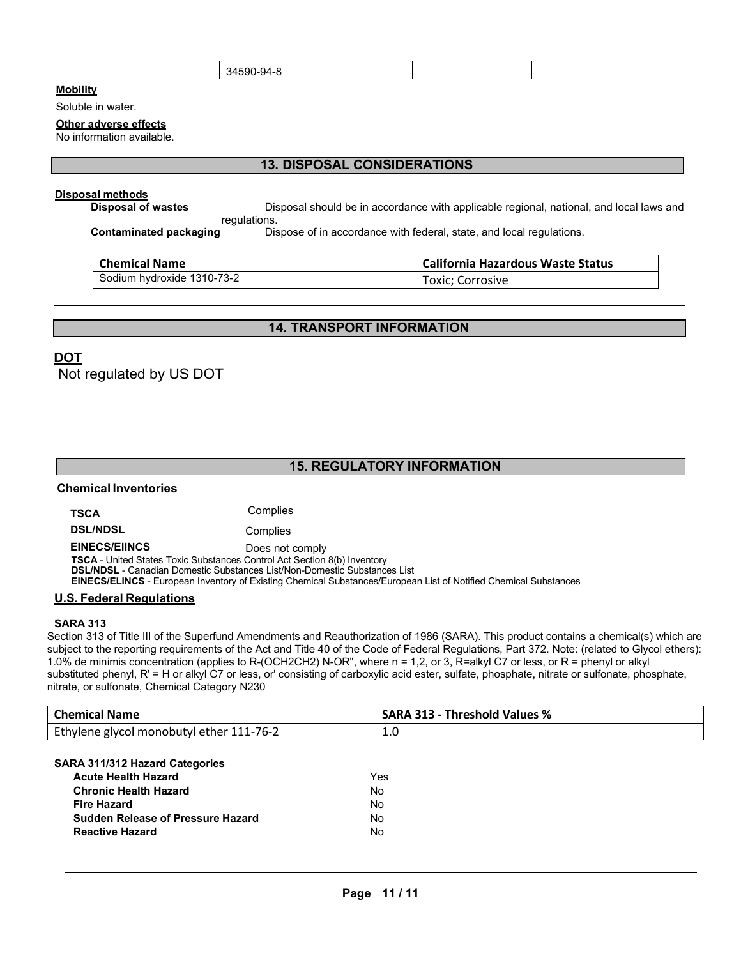34590-94-8

#### **Mobility**

Soluble in water.

#### **Other adverse effects**

No information available.

# **13. DISPOSAL CONSIDERATIONS**

#### **Disposal methods**

**Disposal of wastes Disposal should be in accordance with applicable regional, national, and local laws and** regulations.

**Contaminated packaging** Dispose of in accordance with federal, state, and local regulations.

| <b>Chemical Name</b>       | <b>California Hazardous Waste Status</b> |  |  |
|----------------------------|------------------------------------------|--|--|
| Sodium hydroxide 1310-73-2 | Toxic; Corrosive                         |  |  |

# **14. TRANSPORT INFORMATION**

# **DOT**

Not regulated by US DOT

# **15. REGULATORY INFORMATION**

## **Chemical Inventories**

**TSCA** Complies

**DSL/NDSL** Complies

**EINECS/EIINCS** Does not comply

**TSCA** - United States Toxic Substances Control Act Section 8(b) Inventory

**DSL/NDSL** - Canadian Domestic Substances List/Non-Domestic Substances List

**EINECS/ELINCS** - European Inventory of Existing Chemical Substances/European List of Notified Chemical Substances

#### **U.S. Federal Regulations**

#### **SARA 313**

Section 313 of Title III of the Superfund Amendments and Reauthorization of 1986 (SARA). This product contains a chemical(s) which are subject to the reporting requirements of the Act and Title 40 of the Code of Federal Regulations, Part 372. Note: (related to Glycol ethers): 1.0% de minimis concentration (applies to R-(OCH2CH2) N-OR", where n = 1,2, or 3, R=alkyl C7 or less, or R = phenyl or alkyl substituted phenyl, R' = H or alkyl C7 or less, or' consisting of carboxylic acid ester, sulfate, phosphate, nitrate or sulfonate, phosphate, nitrate, or sulfonate, Chemical Category N230

| <b>Chemical Name</b>                            | <b>SARA 313 - Threshold Values %</b> |
|-------------------------------------------------|--------------------------------------|
| Ethylene glycol monobutyl ether 111-76-2<br>1.0 |                                      |

#### **SARA 311/312 Hazard Categories**

| <b>Acute Health Hazard</b>               | Yes |
|------------------------------------------|-----|
| <b>Chronic Health Hazard</b>             | N٥  |
| <b>Fire Hazard</b>                       | No  |
| <b>Sudden Release of Pressure Hazard</b> | No  |
| <b>Reactive Hazard</b>                   | N٥  |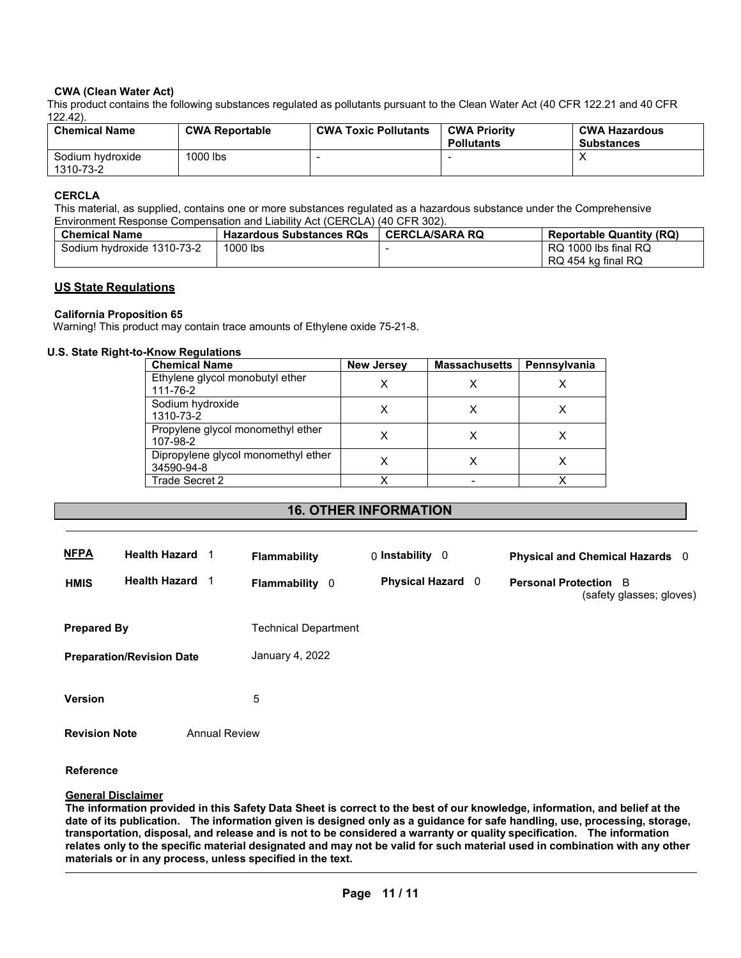#### **CWA (Clean Water Act)**

This product contains the following substances regulated as pollutants pursuant to the Clean Water Act (40 CFR 122.21 and 40 CFR 122.42).

| <b>Chemical Name</b>          | <b>CWA Reportable</b> | <b>CWA Toxic Pollutants</b> | <b>CWA Priority</b><br><b>Pollutants</b> | <b>CWA Hazardous</b><br><b>Substances</b> |
|-------------------------------|-----------------------|-----------------------------|------------------------------------------|-------------------------------------------|
| Sodium hydroxide<br>1310-73-2 | 1000 lbs              |                             |                                          |                                           |

#### **CERCLA**

This material, as supplied, contains one or more substances regulated as a hazardous substance under the Comprehensive Environment Response Compensation and Liability Act (CERCLA) (40 CFR 302).

| <b>Chemical Name</b>       | <b>Hazardous Substances RQs</b> | <b>CERCLA/SARA RQ</b> | <b>Reportable Quantity (RQ)</b> |
|----------------------------|---------------------------------|-----------------------|---------------------------------|
| Sodium hydroxide 1310-73-2 | 1000 lbs                        |                       | RQ 1000 lbs final RQ            |
|                            |                                 |                       | RQ 454 kg final RQ              |

#### **US State Regulations**

**California Proposition 65**

Warning! This product may contain trace amounts of Ethylene oxide 75-21-8.

## **U.S. State Right-to-Know Regulations**

| <b>Chemical Name</b>                              | <b>New Jersey</b> | <b>Massachusetts</b> | Pennsylvania |  |
|---------------------------------------------------|-------------------|----------------------|--------------|--|
| Ethylene glycol monobutyl ether<br>111-76-2       |                   |                      |              |  |
| Sodium hydroxide<br>1310-73-2                     |                   |                      |              |  |
| Propylene glycol monomethyl ether<br>107-98-2     |                   |                      |              |  |
| Dipropylene glycol monomethyl ether<br>34590-94-8 |                   |                      |              |  |
| Trade Secret 2                                    |                   |                      |              |  |

#### **16. OTHER INFORMATION**

| <b>NFPA</b>          | <b>Health Hazard</b> 1           |                      | <b>Flammability</b>   | $0$ Instability $0$      | Physical and Chemical Hazards 0                          |
|----------------------|----------------------------------|----------------------|-----------------------|--------------------------|----------------------------------------------------------|
| <b>HMIS</b>          | <b>Health Hazard</b>             |                      | <b>Flammability</b> 0 | <b>Physical Hazard</b> 0 | <b>Personal Protection</b> B<br>(safety glasses; gloves) |
| <b>Prepared By</b>   |                                  |                      | Technical Department  |                          |                                                          |
|                      | <b>Preparation/Revision Date</b> |                      | January 4, 2022       |                          |                                                          |
| <b>Version</b>       |                                  |                      | 5                     |                          |                                                          |
| <b>Revision Note</b> |                                  | <b>Annual Review</b> |                       |                          |                                                          |

#### **Reference**

#### **General Disclaimer**

**The information provided in this Safety Data Sheet is correct to the best of our knowledge, information, and belief at the date of its publication. The information given is designed only as a guidance for safe handling, use, processing, storage, transportation, disposal, and release and is not to be considered a warranty or quality specification. The information relates only to the specific material designated and may not be valid for such material used in combination with any other materials or in any process, unless specified in the text.**